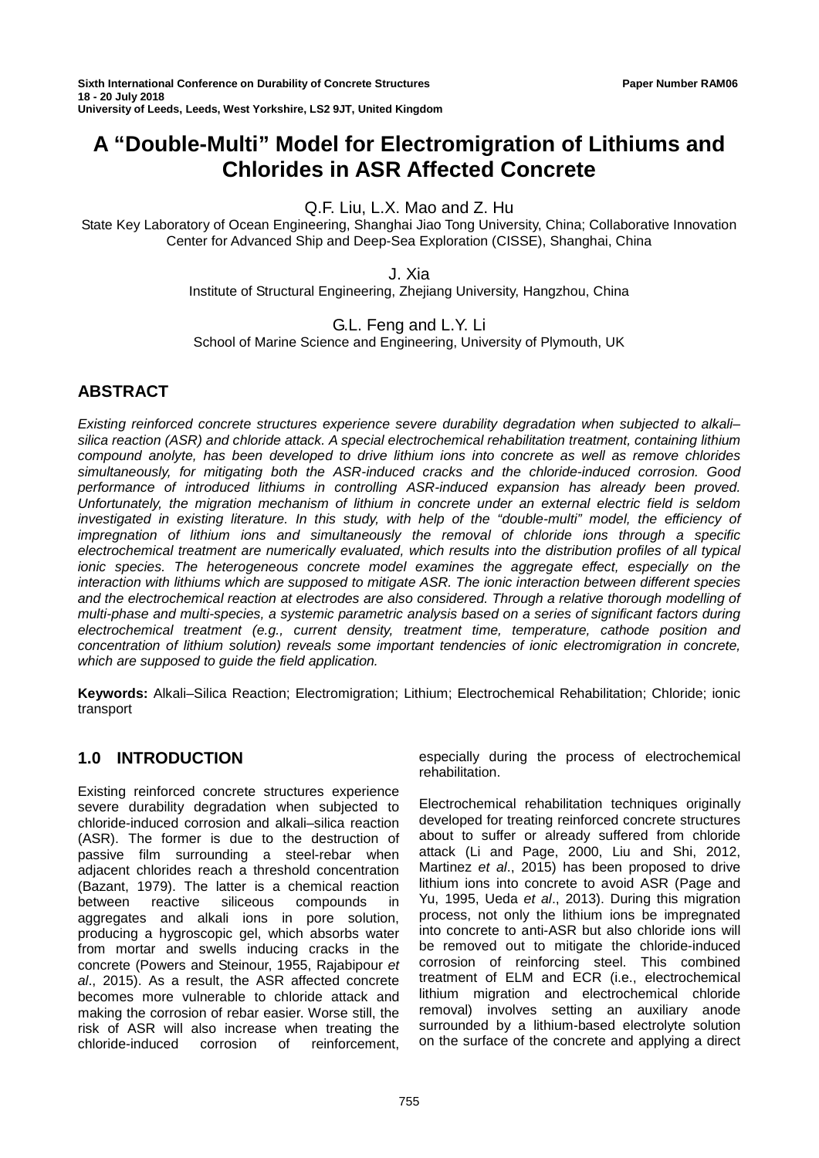# **A "Double-Multi" Model for Electromigration of Lithiums and Chlorides in ASR Affected Concrete**

# Q.F. Liu, L.X. Mao and Z. Hu

State Key Laboratory of Ocean Engineering, Shanghai Jiao Tong University, China; Collaborative Innovation Center for Advanced Ship and Deep-Sea Exploration (CISSE), Shanghai, China

J. Xia

Institute of Structural Engineering, Zhejiang University, Hangzhou, China

G.L. Feng and L.Y. Li

School of Marine Science and Engineering, University of Plymouth, UK

## **ABSTRACT**

*Existing reinforced concrete structures experience severe durability degradation when subjected to alkali– silica reaction (ASR) and chloride attack. A special electrochemical rehabilitation treatment, containing lithium compound anolyte, has been developed to drive lithium ions into concrete as well as remove chlorides simultaneously, for mitigating both the ASR-induced cracks and the chloride-induced corrosion. Good performance of introduced lithiums in controlling ASR-induced expansion has already been proved. Unfortunately, the migration mechanism of lithium in concrete under an external electric field is seldom investigated in existing literature. In this study, with help of the "double-multi" model, the efficiency of impregnation of lithium ions and simultaneously the removal of chloride ions through a specific electrochemical treatment are numerically evaluated, which results into the distribution profiles of all typical ionic species. The heterogeneous concrete model examines the aggregate effect, especially on the interaction with lithiums which are supposed to mitigate ASR. The ionic interaction between different species and the electrochemical reaction at electrodes are also considered. Through a relative thorough modelling of multi-phase and multi-species, a systemic parametric analysis based on a series of significant factors during electrochemical treatment (e.g., current density, treatment time, temperature, cathode position and concentration of lithium solution) reveals some important tendencies of ionic electromigration in concrete, which are supposed to guide the field application.*

**Keywords:** Alkali–Silica Reaction; Electromigration; Lithium; Electrochemical Rehabilitation; Chloride; ionic transport

## **1.0 INTRODUCTION**

Existing reinforced concrete structures experience severe durability degradation when subjected to chloride-induced corrosion and alkali–silica reaction (ASR). The former is due to the destruction of passive film surrounding a steel-rebar when adjacent chlorides reach a threshold concentration (Bazant, 1979). The latter is a chemical reaction between reactive siliceous compounds in aggregates and alkali ions in pore solution, producing a hygroscopic gel, which absorbs water from mortar and swells inducing cracks in the concrete (Powers and Steinour, 1955, Rajabipour *et al*., 2015). As a result, the ASR affected concrete becomes more vulnerable to chloride attack and making the corrosion of rebar easier. Worse still, the risk of ASR will also increase when treating the chloride-induced corrosion of reinforcement. chloride-induced

especially during the process of electrochemical rehabilitation.

Electrochemical rehabilitation techniques originally developed for treating reinforced concrete structures about to suffer or already suffered from chloride attack (Li and Page, 2000, Liu and Shi, 2012, Martinez *et al*., 2015) has been proposed to drive lithium ions into concrete to avoid ASR (Page and Yu, 1995, Ueda *et al*., 2013). During this migration process, not only the lithium ions be impregnated into concrete to anti-ASR but also chloride ions will be removed out to mitigate the chloride-induced corrosion of reinforcing steel. This combined treatment of ELM and ECR (i.e., electrochemical lithium migration and electrochemical chloride removal) involves setting an auxiliary anode surrounded by a lithium-based electrolyte solution on the surface of the concrete and applying a direct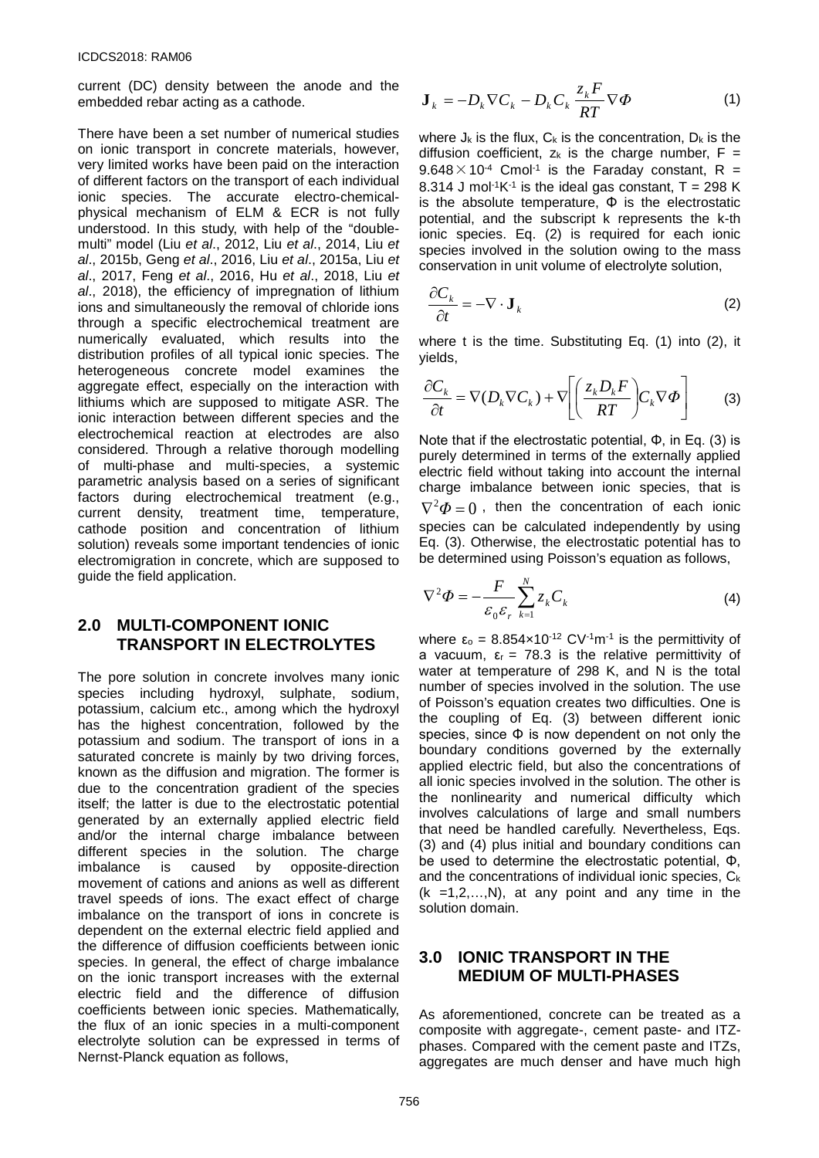current (DC) density between the anode and the embedded rebar acting as a cathode.

There have been a set number of numerical studies on ionic transport in concrete materials, however, very limited works have been paid on the interaction of different factors on the transport of each individual ionic species. The accurate electro-chemicalphysical mechanism of ELM & ECR is not fully understood. In this study, with help of the "doublemulti" model (Liu *et al*., 2012, Liu *et al*., 2014, Liu *et al*., 2015b, Geng *et al*., 2016, Liu *et al*., 2015a, Liu *et al*., 2017, Feng *et al*., 2016, Hu *et al*., 2018, Liu *et al*., 2018), the efficiency of impregnation of lithium ions and simultaneously the removal of chloride ions through a specific electrochemical treatment are numerically evaluated, which results into the distribution profiles of all typical ionic species. The heterogeneous concrete model examines the aggregate effect, especially on the interaction with lithiums which are supposed to mitigate ASR. The ionic interaction between different species and the electrochemical reaction at electrodes are also considered. Through a relative thorough modelling of multi-phase and multi-species, a systemic parametric analysis based on a series of significant factors during electrochemical treatment (e.g., current density, treatment time, temperature, cathode position and concentration of lithium solution) reveals some important tendencies of ionic electromigration in concrete, which are supposed to guide the field application.

## **2.0 MULTI-COMPONENT IONIC TRANSPORT IN ELECTROLYTES**

The pore solution in concrete involves many ionic species including hydroxyl, sulphate, sodium, potassium, calcium etc., among which the hydroxyl has the highest concentration, followed by the potassium and sodium. The transport of ions in a saturated concrete is mainly by two driving forces, known as the diffusion and migration. The former is due to the concentration gradient of the species itself; the latter is due to the electrostatic potential generated by an externally applied electric field and/or the internal charge imbalance between different species in the solution. The charge imbalance is caused by opposite-direction movement of cations and anions as well as different travel speeds of ions. The exact effect of charge imbalance on the transport of ions in concrete is dependent on the external electric field applied and the difference of diffusion coefficients between ionic species. In general, the effect of charge imbalance on the ionic transport increases with the external electric field and the difference of diffusion coefficients between ionic species. Mathematically, the flux of an ionic species in a multi-component electrolyte solution can be expressed in terms of Nernst-Planck equation as follows,

$$
\mathbf{J}_k = -D_k \nabla C_k - D_k C_k \frac{z_k F}{RT} \nabla \Phi \tag{1}
$$

where  $J_k$  is the flux,  $C_k$  is the concentration,  $D_k$  is the diffusion coefficient,  $z_k$  is the charge number,  $F =$  $9.648 \times 10^{-4}$  Cmol<sup>-1</sup> is the Faraday constant, R = 8.314 J mol<sup>-1</sup>K<sup>-1</sup> is the ideal gas constant,  $T = 298$  K is the absolute temperature,  $\Phi$  is the electrostatic potential, and the subscript k represents the k-th ionic species. Eq. (2) is required for each ionic species involved in the solution owing to the mass conservation in unit volume of electrolyte solution,

$$
\frac{\partial C_k}{\partial t} = -\nabla \cdot \mathbf{J}_k \tag{2}
$$

where t is the time. Substituting Eq. (1) into (2), it yields,

$$
\frac{\partial C_k}{\partial t} = \nabla(D_k \nabla C_k) + \nabla \left[ \left( \frac{z_k D_k F}{RT} \right) C_k \nabla \Phi \right]
$$
 (3)

Note that if the electrostatic potential, Φ, in Eq. (3) is purely determined in terms of the externally applied electric field without taking into account the internal charge imbalance between ionic species, that is  $\nabla^2 \Phi = 0$ , then the concentration of each ionic species can be calculated independently by using Eq. (3). Otherwise, the electrostatic potential has to be determined using Poisson's equation as follows,

$$
\nabla^2 \Phi = -\frac{F}{\varepsilon_0 \varepsilon_r} \sum_{k=1}^N z_k C_k \tag{4}
$$

where  $\varepsilon_0 = 8.854 \times 10^{-12}$  CV<sup>-1</sup>m<sup>-1</sup> is the permittivity of a vacuum,  $\varepsilon_r = 78.3$  is the relative permittivity of water at temperature of 298 K, and N is the total number of species involved in the solution. The use of Poisson's equation creates two difficulties. One is the coupling of Eq. (3) between different ionic species, since  $\Phi$  is now dependent on not only the boundary conditions governed by the externally applied electric field, but also the concentrations of all ionic species involved in the solution. The other is the nonlinearity and numerical difficulty which involves calculations of large and small numbers that need be handled carefully. Nevertheless, Eqs. (3) and (4) plus initial and boundary conditions can be used to determine the electrostatic potential, Φ, and the concentrations of individual ionic species,  $C_k$  $(k = 1, 2, \ldots, N)$ , at any point and any time in the solution domain.

## **3.0 IONIC TRANSPORT IN THE MEDIUM OF MULTI-PHASES**

As aforementioned, concrete can be treated as a composite with aggregate-, cement paste- and ITZphases. Compared with the cement paste and ITZs, aggregates are much denser and have much high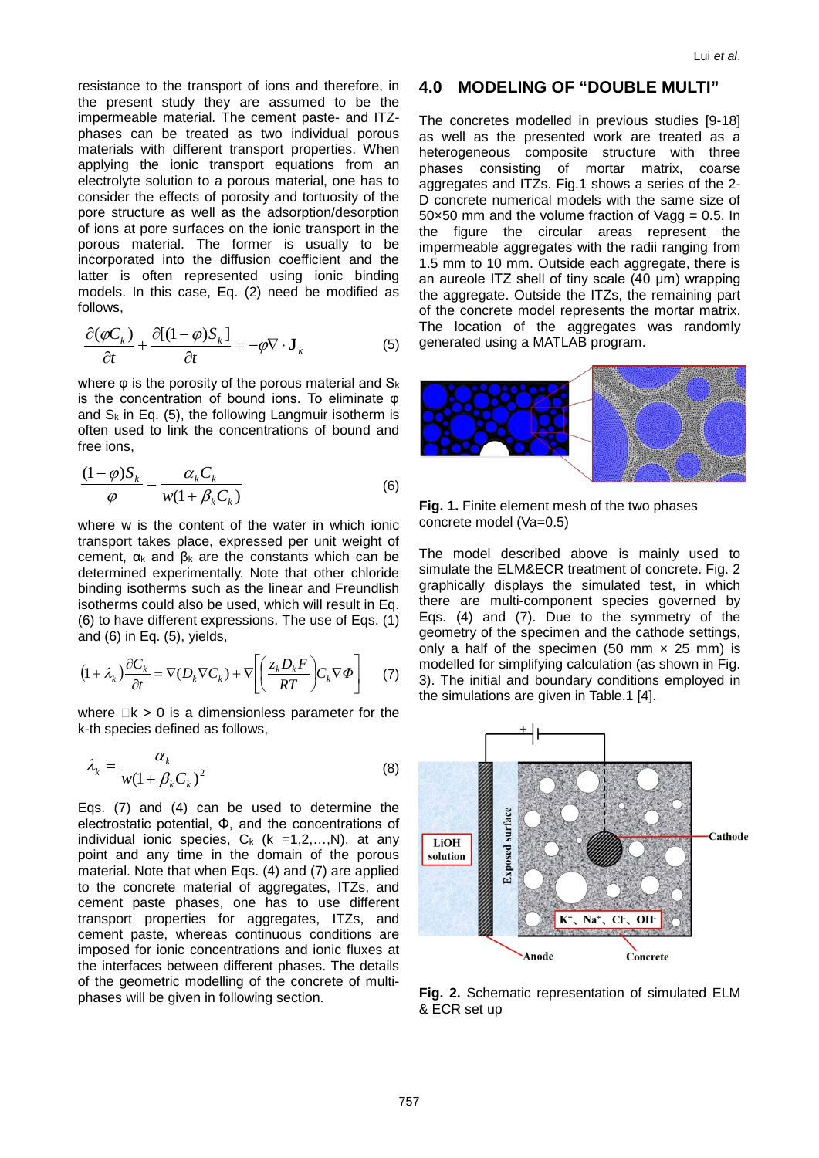resistance to the transport of ions and therefore, in the present study they are assumed to be the impermeable material. The cement paste- and ITZphases can be treated as two individual porous materials with different transport properties. When applying the ionic transport equations from an electrolyte solution to a porous material, one has to consider the effects of porosity and tortuosity of the pore structure as well as the adsorption/desorption of ions at pore surfaces on the ionic transport in the porous material. The former is usually to be incorporated into the diffusion coefficient and the latter is often represented using ionic binding models. In this case, Eq. (2) need be modified as follows,

$$
\frac{\partial(\varphi C_k)}{\partial t} + \frac{\partial[(1-\varphi)S_k]}{\partial t} = -\varphi \nabla \cdot \mathbf{J}_k
$$
 (5)

where  $\varphi$  is the porosity of the porous material and  $S_k$ is the concentration of bound ions. To eliminate φ and  $S_k$  in Eq. (5), the following Langmuir isotherm is often used to link the concentrations of bound and free ions,

$$
\frac{(1-\varphi)S_k}{\varphi} = \frac{\alpha_k C_k}{w(1+\beta_k C_k)}\tag{6}
$$

where w is the content of the water in which ionic transport takes place, expressed per unit weight of cement,  $α_k$  and  $β_k$  are the constants which can be determined experimentally. Note that other chloride binding isotherms such as the linear and Freundlish isotherms could also be used, which will result in Eq. (6) to have different expressions. The use of Eqs. (1) and (6) in Eq. (5), yields,

$$
(1 + \lambda_k) \frac{\partial C_k}{\partial t} = \nabla (D_k \nabla C_k) + \nabla \left[ \left( \frac{z_k D_k F}{RT} \right) C_k \nabla \Phi \right] \tag{7}
$$

where  $\Box k > 0$  is a dimensionless parameter for the k-th species defined as follows,

$$
\lambda_k = \frac{\alpha_k}{w(1 + \beta_k C_k)^2} \tag{8}
$$

Eqs. (7) and (4) can be used to determine the electrostatic potential, Φ, and the concentrations of individual ionic species,  $C_k$  (k =1,2,...,N), at any point and any time in the domain of the porous material. Note that when Eqs. (4) and (7) are applied to the concrete material of aggregates, ITZs, and cement paste phases, one has to use different transport properties for aggregates, ITZs, and cement paste, whereas continuous conditions are imposed for ionic concentrations and ionic fluxes at the interfaces between different phases. The details of the geometric modelling of the concrete of multiphases will be given in following section.

#### **4.0 MODELING OF "DOUBLE MULTI"**

The concretes modelled in previous studies [9-18] as well as the presented work are treated as a heterogeneous composite structure with three phases consisting of mortar matrix, coarse aggregates and ITZs. Fig.1 shows a series of the 2- D concrete numerical models with the same size of  $50\times50$  mm and the volume fraction of Vagg = 0.5. In the figure the circular areas represent the impermeable aggregates with the radii ranging from 1.5 mm to 10 mm. Outside each aggregate, there is an aureole ITZ shell of tiny scale (40 μm) wrapping the aggregate. Outside the ITZs, the remaining part of the concrete model represents the mortar matrix. The location of the aggregates was randomly generated using a MATLAB program.



**Fig. 1.** Finite element mesh of the two phases concrete model (Va=0.5)

The model described above is mainly used to simulate the ELM&ECR treatment of concrete. Fig. 2 graphically displays the simulated test, in which there are multi-component species governed by Eqs. (4) and (7). Due to the symmetry of the geometry of the specimen and the cathode settings, only a half of the specimen (50 mm  $\times$  25 mm) is modelled for simplifying calculation (as shown in Fig. 3). The initial and boundary conditions employed in the simulations are given in Table.1 [4].



**Fig. 2.** Schematic representation of simulated ELM & ECR set up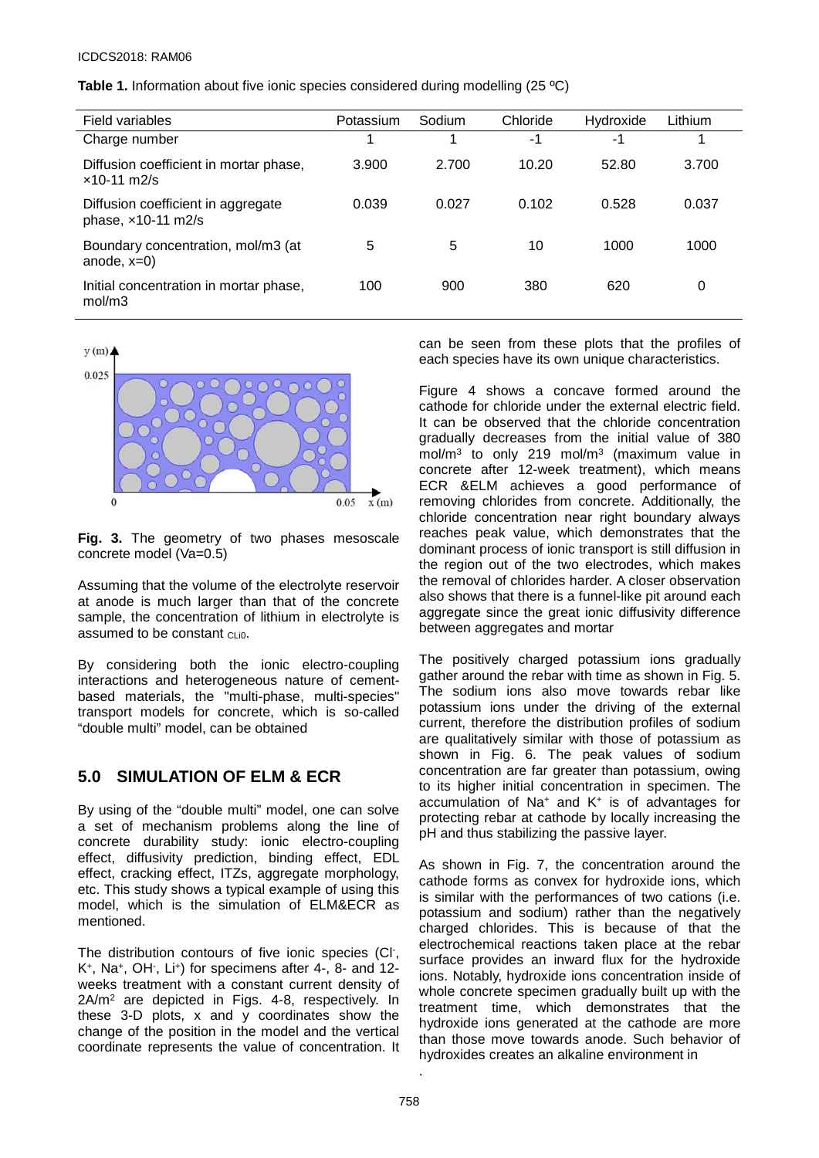**Table 1.** Information about five ionic species considered during modelling (25 ºC)

| Field variables                                          | Potassium | Sodium | Chloride | Hydroxide | Lithium |
|----------------------------------------------------------|-----------|--------|----------|-----------|---------|
| Charge number                                            | 1         | 1      | $-1$     | $-1$      | 4       |
| Diffusion coefficient in mortar phase,<br>$x10-11$ m2/s  | 3.900     | 2.700  | 10.20    | 52.80     | 3.700   |
| Diffusion coefficient in aggregate<br>phase, x10-11 m2/s | 0.039     | 0.027  | 0.102    | 0.528     | 0.037   |
| Boundary concentration, mol/m3 (at<br>anode, $x=0$ )     | 5         | 5      | 10       | 1000      | 1000    |
| Initial concentration in mortar phase,<br>mol/m3         | 100       | 900    | 380      | 620       | 0       |



**Fig. 3.** The geometry of two phases mesoscale concrete model (Va=0.5)

Assuming that the volume of the electrolyte reservoir at anode is much larger than that of the concrete sample, the concentration of lithium in electrolyte is assumed to be constant CLio.

By considering both the ionic electro-coupling interactions and heterogeneous nature of cementbased materials, the "multi-phase, multi-species" transport models for concrete, which is so-called "double multi" model, can be obtained

# **5.0 SIMULATION OF ELM & ECR**

By using of the "double multi" model, one can solve a set of mechanism problems along the line of concrete durability study: ionic electro-coupling effect, diffusivity prediction, binding effect, EDL effect, cracking effect, ITZs, aggregate morphology, etc. This study shows a typical example of using this model, which is the simulation of ELM&ECR as mentioned.

The distribution contours of five ionic species (Cl- , K+, Na+, OH- , Li+) for specimens after 4-, 8- and 12 weeks treatment with a constant current density of 2A/m2 are depicted in Figs. 4-8, respectively. In these 3-D plots, x and y coordinates show the change of the position in the model and the vertical coordinate represents the value of concentration. It

can be seen from these plots that the profiles of each species have its own unique characteristics.

Figure 4 shows a concave formed around the cathode for chloride under the external electric field. It can be observed that the chloride concentration gradually decreases from the initial value of 380 mol/m3 to only 219 mol/m3 (maximum value in concrete after 12-week treatment), which means ECR &ELM achieves a good performance of removing chlorides from concrete. Additionally, the chloride concentration near right boundary always reaches peak value, which demonstrates that the dominant process of ionic transport is still diffusion in the region out of the two electrodes, which makes the removal of chlorides harder. A closer observation also shows that there is a funnel-like pit around each aggregate since the great ionic diffusivity difference between aggregates and mortar

The positively charged potassium ions gradually gather around the rebar with time as shown in Fig. 5. The sodium ions also move towards rebar like potassium ions under the driving of the external current, therefore the distribution profiles of sodium are qualitatively similar with those of potassium as shown in Fig. 6. The peak values of sodium concentration are far greater than potassium, owing to its higher initial concentration in specimen. The accumulation of Na+ and K+ is of advantages for protecting rebar at cathode by locally increasing the pH and thus stabilizing the passive layer.

As shown in Fig. 7, the concentration around the cathode forms as convex for hydroxide ions, which is similar with the performances of two cations (i.e. potassium and sodium) rather than the negatively charged chlorides. This is because of that the electrochemical reactions taken place at the rebar surface provides an inward flux for the hydroxide ions. Notably, hydroxide ions concentration inside of whole concrete specimen gradually built up with the treatment time, which demonstrates that the hydroxide ions generated at the cathode are more than those move towards anode. Such behavior of hydroxides creates an alkaline environment in

.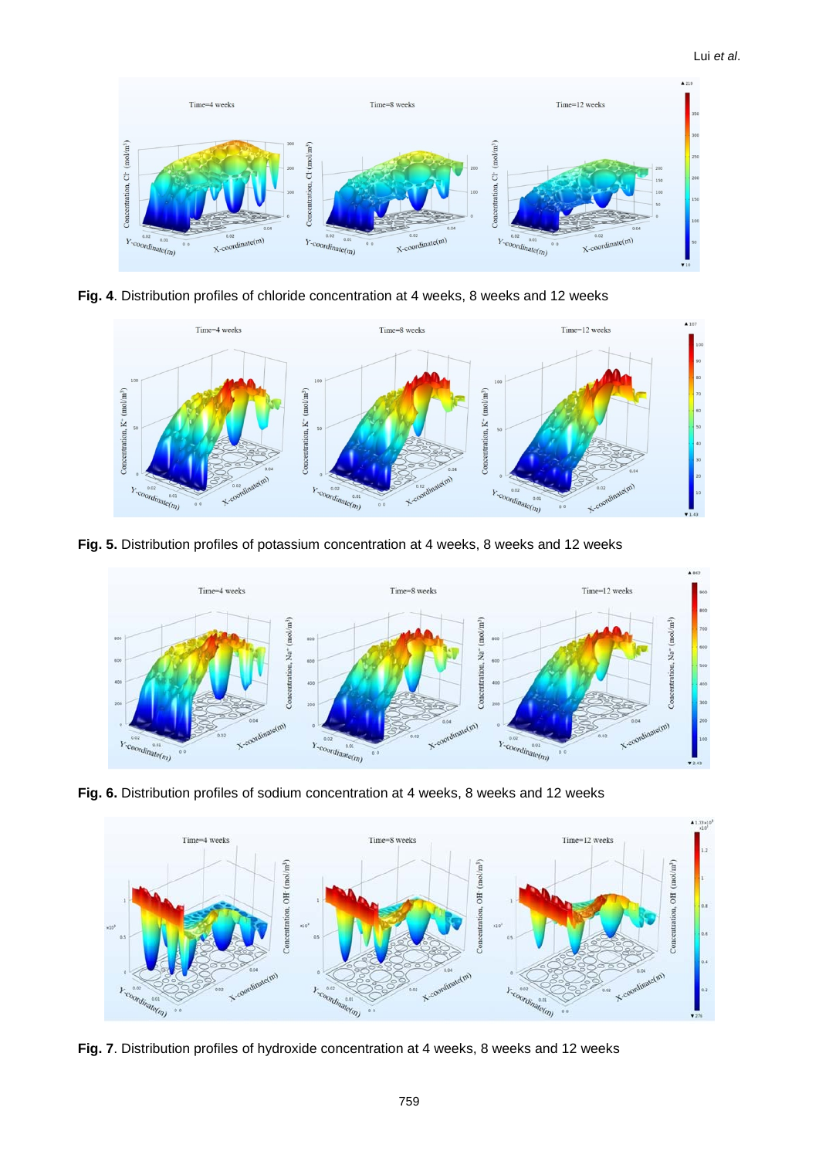

**Fig. 4**. Distribution profiles of chloride concentration at 4 weeks, 8 weeks and 12 weeks



**Fig. 5.** Distribution profiles of potassium concentration at 4 weeks, 8 weeks and 12 weeks



**Fig. 6.** Distribution profiles of sodium concentration at 4 weeks, 8 weeks and 12 weeks



**Fig. 7**. Distribution profiles of hydroxide concentration at 4 weeks, 8 weeks and 12 weeks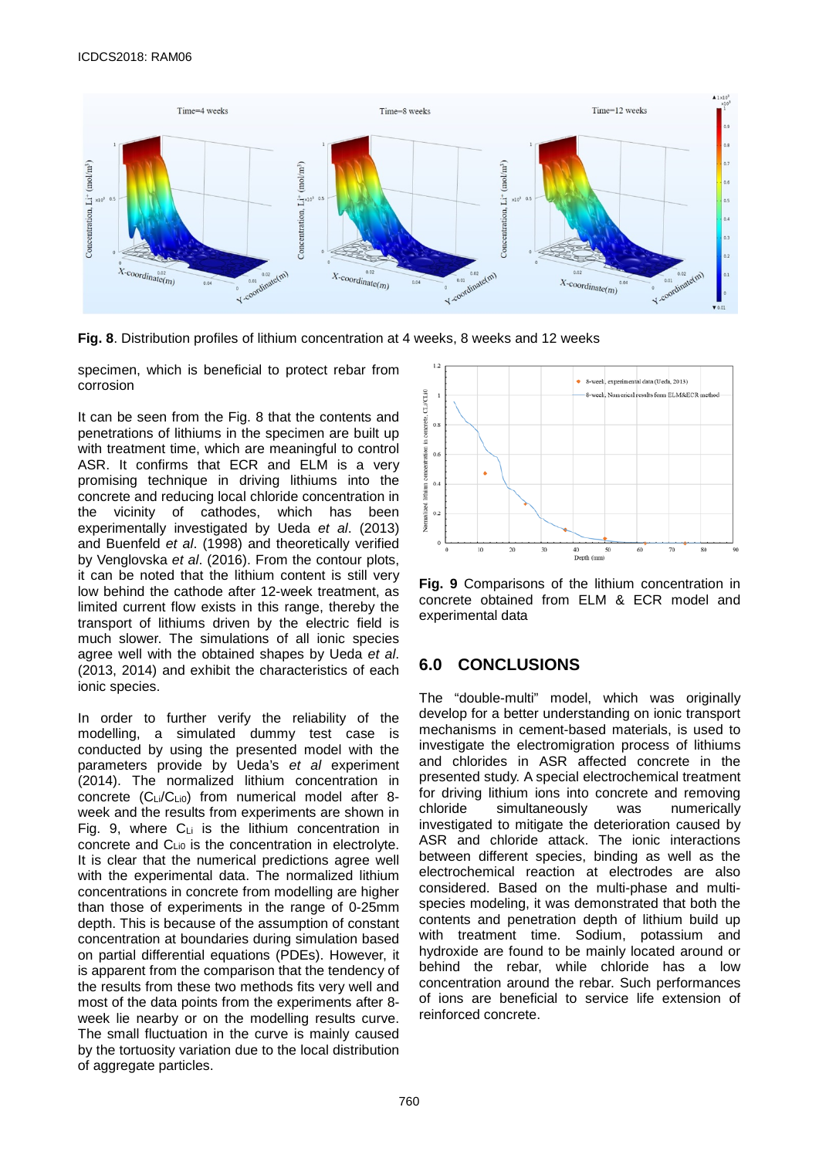

**Fig. 8**. Distribution profiles of lithium concentration at 4 weeks, 8 weeks and 12 weeks

specimen, which is beneficial to protect rebar from corrosion

It can be seen from the Fig. 8 that the contents and penetrations of lithiums in the specimen are built up with treatment time, which are meaningful to control ASR. It confirms that ECR and ELM is a very promising technique in driving lithiums into the concrete and reducing local chloride concentration in the vicinity of cathodes, which has been experimentally investigated by Ueda *et al*. (2013) and Buenfeld *et al*. (1998) and theoretically verified by Venglovska *et al*. (2016). From the contour plots, it can be noted that the lithium content is still very low behind the cathode after 12-week treatment, as limited current flow exists in this range, thereby the transport of lithiums driven by the electric field is much slower. The simulations of all ionic species agree well with the obtained shapes by Ueda *et al*. (2013, 2014) and exhibit the characteristics of each ionic species.

In order to further verify the reliability of the modelling, a simulated dummy test case is conducted by using the presented model with the parameters provide by Ueda's *et al* experiment (2014). The normalized lithium concentration in concrete (CLi/CLi0) from numerical model after 8 week and the results from experiments are shown in Fig. 9, where  $C_{Li}$  is the lithium concentration in concrete and CLi0 is the concentration in electrolyte. It is clear that the numerical predictions agree well with the experimental data. The normalized lithium concentrations in concrete from modelling are higher than those of experiments in the range of 0-25mm depth. This is because of the assumption of constant concentration at boundaries during simulation based on partial differential equations (PDEs). However, it is apparent from the comparison that the tendency of the results from these two methods fits very well and most of the data points from the experiments after 8 week lie nearby or on the modelling results curve. The small fluctuation in the curve is mainly caused by the tortuosity variation due to the local distribution of aggregate particles.





## **6.0 CONCLUSIONS**

The "double-multi" model, which was originally develop for a better understanding on ionic transport mechanisms in cement-based materials, is used to investigate the electromigration process of lithiums and chlorides in ASR affected concrete in the presented study. A special electrochemical treatment for driving lithium ions into concrete and removing<br>chloride simultaneously was numerically chloride simultaneously was investigated to mitigate the deterioration caused by ASR and chloride attack. The ionic interactions between different species, binding as well as the electrochemical reaction at electrodes are also considered. Based on the multi-phase and multispecies modeling, it was demonstrated that both the contents and penetration depth of lithium build up with treatment time. Sodium, potassium and hydroxide are found to be mainly located around or behind the rebar, while chloride has a low concentration around the rebar. Such performances of ions are beneficial to service life extension of reinforced concrete.